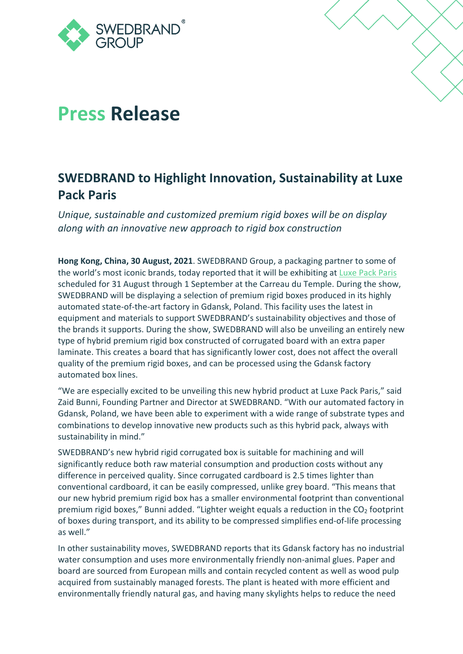

## **Press Release**

## **SWEDBRAND to Highlight Innovation, Sustainability at Luxe Pack Paris**

*Unique, sustainable and customized premium rigid boxes will be on display along with an innovative new approach to rigid box construction*

**Hong Kong, China, 30 August, 2021**. SWEDBRAND Group, a packaging partner to some of the world's most iconic brands, today reported that it will be exhibiting at [Luxe Pack Paris](https://www.editionspeciale-luxepack.com/en/2021/06/22/a-new-factory-at-the-forefront-of-sustainability-for-swedbrand/) scheduled for 31 August through 1 September at the Carreau du Temple. During the show, SWEDBRAND will be displaying a selection of premium rigid boxes produced in its highly automated state-of-the-art factory in Gdansk, Poland. This facility uses the latest in equipment and materials to support SWEDBRAND's sustainability objectives and those of the brands it supports. During the show, SWEDBRAND will also be unveiling an entirely new type of hybrid premium rigid box constructed of corrugated board with an extra paper laminate. This creates a board that has significantly lower cost, does not affect the overall quality of the premium rigid boxes, and can be processed using the Gdansk factory automated box lines.

"We are especially excited to be unveiling this new hybrid product at Luxe Pack Paris," said Zaid Bunni, Founding Partner and Director at SWEDBRAND. "With our automated factory in Gdansk, Poland, we have been able to experiment with a wide range of substrate types and combinations to develop innovative new products such as this hybrid pack, always with sustainability in mind."

SWEDBRAND's new hybrid rigid corrugated box is suitable for machining and will significantly reduce both raw material consumption and production costs without any difference in perceived quality. Since corrugated cardboard is 2.5 times lighter than conventional cardboard, it can be easily compressed, unlike grey board. "This means that our new hybrid premium rigid box has a smaller environmental footprint than conventional premium rigid boxes," Bunni added. "Lighter weight equals a reduction in the  $CO<sub>2</sub>$  footprint of boxes during transport, and its ability to be compressed simplifies end-of-life processing as well."

In other sustainability moves, SWEDBRAND reports that its Gdansk factory has no industrial water consumption and uses more environmentally friendly non-animal glues. Paper and board are sourced from European mills and contain recycled content as well as wood pulp acquired from sustainably managed forests. The plant is heated with more efficient and environmentally friendly natural gas, and having many skylights helps to reduce the need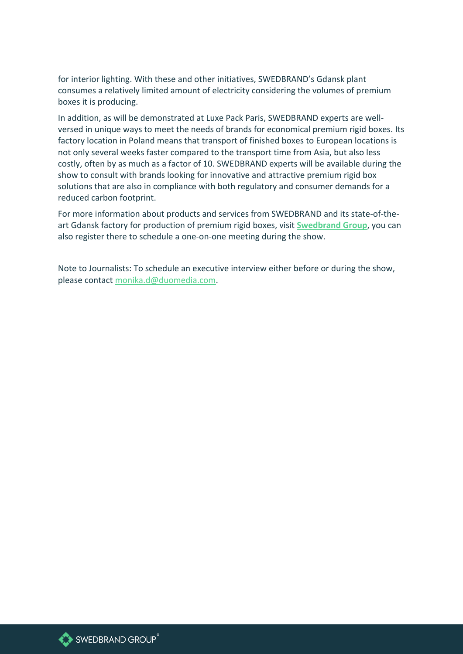for interior lighting. With these and other initiatives, SWEDBRAND's Gdansk plant consumes a relatively limited amount of electricity considering the volumes of premium boxes it is producing.

In addition, as will be demonstrated at Luxe Pack Paris, SWEDBRAND experts are wellversed in unique ways to meet the needs of brands for economical premium rigid boxes. Its factory location in Poland means that transport of finished boxes to European locations is not only several weeks faster compared to the transport time from Asia, but also less costly, often by as much as a factor of 10. SWEDBRAND experts will be available during the show to consult with brands looking for innovative and attractive premium rigid box solutions that are also in compliance with both regulatory and consumer demands for a reduced carbon footprint.

For more information about products and services from SWEDBRAND and its state-of-theart Gdansk factory for production of premium rigid boxes, visit **[Swedbrand Group](https://www.swedbrand-group.com/swedbrand-poland/)**, you can also register there to schedule a one-on-one meeting during the show.

Note to Journalists: To schedule an executive interview either before or during the show, please contact [monika.d@duomedia.com.](mailto:monika.d@duomedia.com)